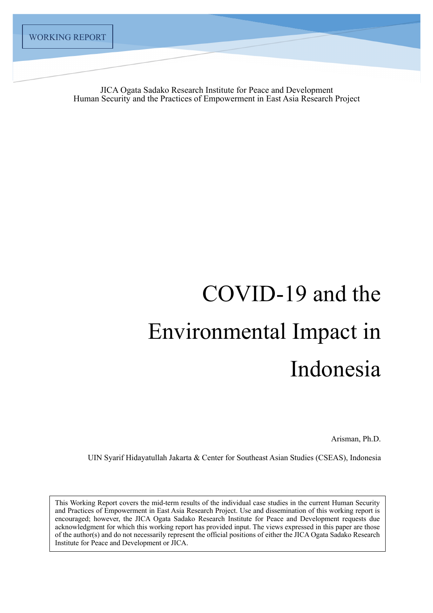JICA Ogata Sadako Research Institute for Peace and Development Human Security and the Practices of Empowerment in East Asia Research Project

# COVID-19 and the Environmental Impact in Indonesia

Arisman, Ph.D.

UIN Syarif Hidayatullah Jakarta & Center for Southeast Asian Studies (CSEAS), Indonesia

This Working Report covers the mid-term results of the individual case studies in the current Human Security and Practices of Empowerment in East Asia Research Project. Use and dissemination of this working report is encouraged; however, the JICA Ogata Sadako Research Institute for Peace and Development requests due acknowledgment for which this working report has provided input. The views expressed in this paper are those of the author(s) and do not necessarily represent the official positions of either the JICA Ogata Sadako Research Institute for Peace and Development or JICA.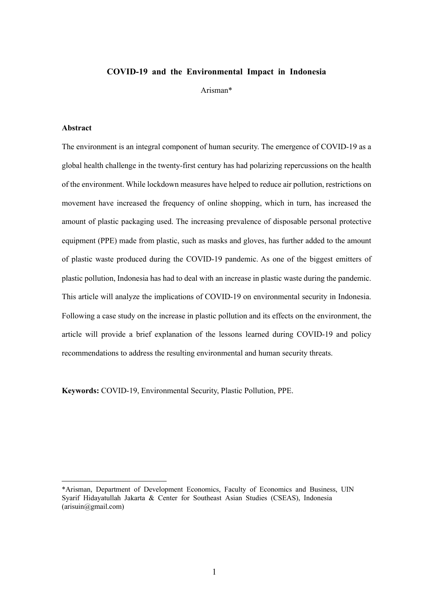# **COVID-19 and the Environmental Impact in Indonesia**

Arisman\*

# **Abstract**

The environment is an integral component of human security. The emergence of COVID-19 as a global health challenge in the twenty-first century has had polarizing repercussions on the health of the environment. While lockdown measures have helped to reduce air pollution, restrictions on movement have increased the frequency of online shopping, which in turn, has increased the amount of plastic packaging used. The increasing prevalence of disposable personal protective equipment (PPE) made from plastic, such as masks and gloves, has further added to the amount of plastic waste produced during the COVID-19 pandemic. As one of the biggest emitters of plastic pollution, Indonesia has had to deal with an increase in plastic waste during the pandemic. This article will analyze the implications of COVID-19 on environmental security in Indonesia. Following a case study on the increase in plastic pollution and its effects on the environment, the article will provide a brief explanation of the lessons learned during COVID-19 and policy recommendations to address the resulting environmental and human security threats.

**Keywords:** COVID-19, Environmental Security, Plastic Pollution, PPE.

<sup>\*</sup>Arisman, Department of Development Economics, Faculty of Economics and Business, UIN Syarif Hidayatullah Jakarta & Center for Southeast Asian Studies (CSEAS), Indonesia  $(arisuin@gmail.com)$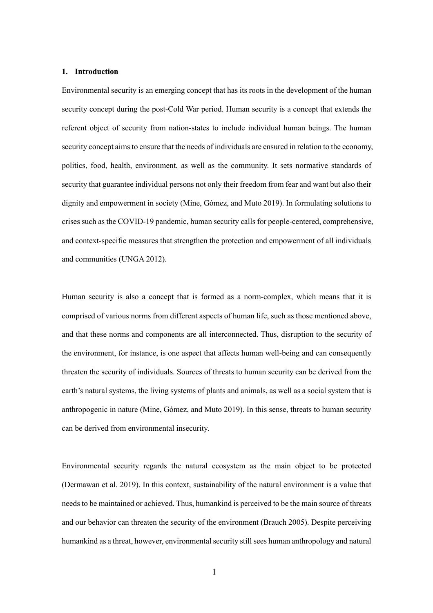## **1. Introduction**

Environmental security is an emerging concept that has its roots in the development of the human security concept during the post-Cold War period. Human security is a concept that extends the referent object of security from nation-states to include individual human beings. The human security concept aims to ensure that the needs of individuals are ensured in relation to the economy, politics, food, health, environment, as well as the community. It sets normative standards of security that guarantee individual persons not only their freedom from fear and want but also their dignity and empowerment in society (Mine, Gómez, and Muto 2019). In formulating solutions to crises such as the COVID-19 pandemic, human security calls for people-centered, comprehensive, and context-specific measures that strengthen the protection and empowerment of all individuals and communities (UNGA 2012).

Human security is also a concept that is formed as a norm-complex, which means that it is comprised of various norms from different aspects of human life, such as those mentioned above, and that these norms and components are all interconnected. Thus, disruption to the security of the environment, for instance, is one aspect that affects human well-being and can consequently threaten the security of individuals. Sources of threats to human security can be derived from the earth's natural systems, the living systems of plants and animals, as well as a social system that is anthropogenic in nature (Mine, Gómez, and Muto 2019). In this sense, threats to human security can be derived from environmental insecurity.

Environmental security regards the natural ecosystem as the main object to be protected (Dermawan et al. 2019). In this context, sustainability of the natural environment is a value that needs to be maintained or achieved. Thus, humankind is perceived to be the main source of threats and our behavior can threaten the security of the environment (Brauch 2005). Despite perceiving humankind as a threat, however, environmental security still sees human anthropology and natural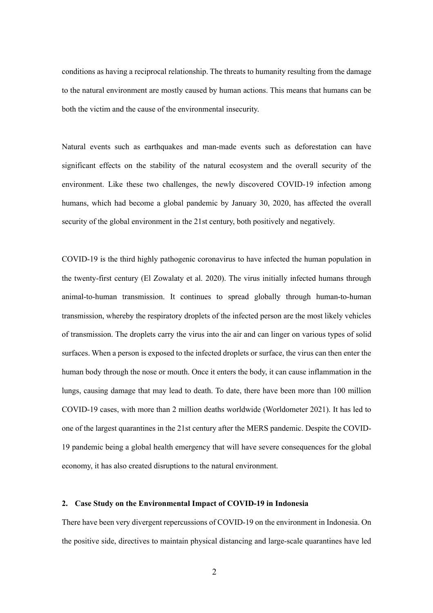conditions as having a reciprocal relationship. The threats to humanity resulting from the damage to the natural environment are mostly caused by human actions. This means that humans can be both the victim and the cause of the environmental insecurity.

Natural events such as earthquakes and man-made events such as deforestation can have significant effects on the stability of the natural ecosystem and the overall security of the environment. Like these two challenges, the newly discovered COVID-19 infection among humans, which had become a global pandemic by January 30, 2020, has affected the overall security of the global environment in the 21st century, both positively and negatively.

COVID-19 is the third highly pathogenic coronavirus to have infected the human population in the twenty-first century (El Zowalaty et al. 2020). The virus initially infected humans through animal-to-human transmission. It continues to spread globally through human-to-human transmission, whereby the respiratory droplets of the infected person are the most likely vehicles of transmission. The droplets carry the virus into the air and can linger on various types of solid surfaces. When a person is exposed to the infected droplets or surface, the virus can then enter the human body through the nose or mouth. Once it enters the body, it can cause inflammation in the lungs, causing damage that may lead to death. To date, there have been more than 100 million COVID-19 cases, with more than 2 million deaths worldwide (Worldometer 2021). It has led to one of the largest quarantines in the 21st century after the MERS pandemic. Despite the COVID-19 pandemic being a global health emergency that will have severe consequences for the global economy, it has also created disruptions to the natural environment.

#### **2. Case Study on the Environmental Impact of COVID-19 in Indonesia**

There have been very divergent repercussions of COVID-19 on the environment in Indonesia. On the positive side, directives to maintain physical distancing and large-scale quarantines have led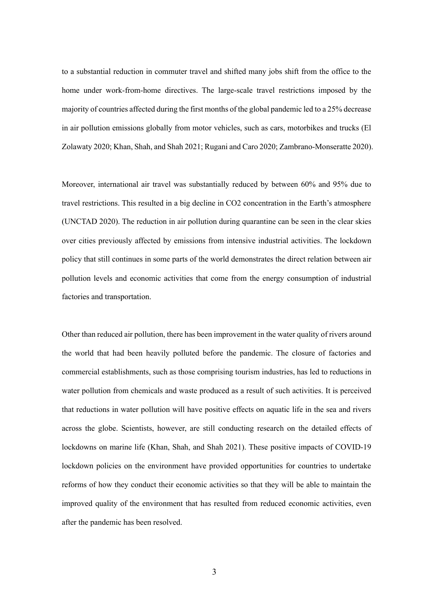to a substantial reduction in commuter travel and shifted many jobs shift from the office to the home under work-from-home directives. The large-scale travel restrictions imposed by the majority of countries affected during the first months of the global pandemic led to a 25% decrease in air pollution emissions globally from motor vehicles, such as cars, motorbikes and trucks (El Zolawaty 2020; Khan, Shah, and Shah 2021; Rugani and Caro 2020; Zambrano-Monseratte 2020).

Moreover, international air travel was substantially reduced by between 60% and 95% due to travel restrictions. This resulted in a big decline in CO2 concentration in the Earth's atmosphere (UNCTAD 2020). The reduction in air pollution during quarantine can be seen in the clear skies over cities previously affected by emissions from intensive industrial activities. The lockdown policy that still continues in some parts of the world demonstrates the direct relation between air pollution levels and economic activities that come from the energy consumption of industrial factories and transportation.

Other than reduced air pollution, there has been improvement in the water quality of rivers around the world that had been heavily polluted before the pandemic. The closure of factories and commercial establishments, such as those comprising tourism industries, has led to reductions in water pollution from chemicals and waste produced as a result of such activities. It is perceived that reductions in water pollution will have positive effects on aquatic life in the sea and rivers across the globe. Scientists, however, are still conducting research on the detailed effects of lockdowns on marine life (Khan, Shah, and Shah 2021). These positive impacts of COVID-19 lockdown policies on the environment have provided opportunities for countries to undertake reforms of how they conduct their economic activities so that they will be able to maintain the improved quality of the environment that has resulted from reduced economic activities, even after the pandemic has been resolved.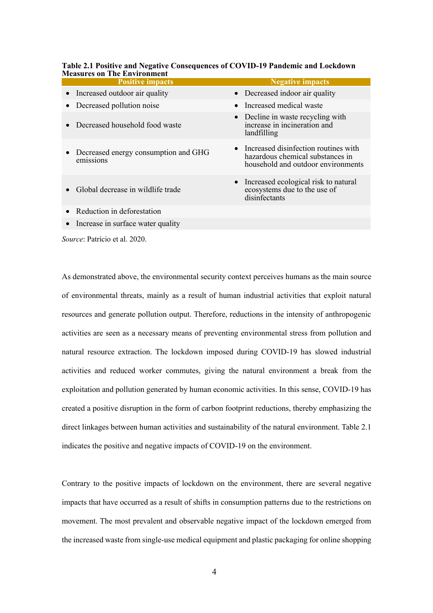| ivieasures on The Environment                       |                                                                                                                  |  |  |  |  |  |  |
|-----------------------------------------------------|------------------------------------------------------------------------------------------------------------------|--|--|--|--|--|--|
| <b>Positive impacts</b>                             | <b>Negative impacts</b>                                                                                          |  |  |  |  |  |  |
| • Increased outdoor air quality                     | • Decreased indoor air quality                                                                                   |  |  |  |  |  |  |
| • Decreased pollution noise                         | • Increased medical waste                                                                                        |  |  |  |  |  |  |
| • Decreased household food waste                    | • Decline in waste recycling with<br>increase in incineration and<br>landfilling                                 |  |  |  |  |  |  |
| • Decreased energy consumption and GHG<br>emissions | • Increased disinfection routines with<br>hazardous chemical substances in<br>household and outdoor environments |  |  |  |  |  |  |
| Global decrease in wildlife trade                   | • Increased ecological risk to natural<br>ecosystems due to the use of<br>disinfectants                          |  |  |  |  |  |  |
| Reduction in deforestation                          |                                                                                                                  |  |  |  |  |  |  |

## **Table 2.1 Positive and Negative Consequences of COVID-19 Pandemic and Lockdown Measures on The Environment**

• Increase in surface water quality

*Source*: Patrício et al. 2020.

As demonstrated above, the environmental security context perceives humans as the main source of environmental threats, mainly as a result of human industrial activities that exploit natural resources and generate pollution output. Therefore, reductions in the intensity of anthropogenic activities are seen as a necessary means of preventing environmental stress from pollution and natural resource extraction. The lockdown imposed during COVID-19 has slowed industrial activities and reduced worker commutes, giving the natural environment a break from the exploitation and pollution generated by human economic activities. In this sense, COVID-19 has created a positive disruption in the form of carbon footprint reductions, thereby emphasizing the direct linkages between human activities and sustainability of the natural environment. Table 2.1 indicates the positive and negative impacts of COVID-19 on the environment.

Contrary to the positive impacts of lockdown on the environment, there are several negative impacts that have occurred as a result of shifts in consumption patterns due to the restrictions on movement. The most prevalent and observable negative impact of the lockdown emerged from the increased waste from single-use medical equipment and plastic packaging for online shopping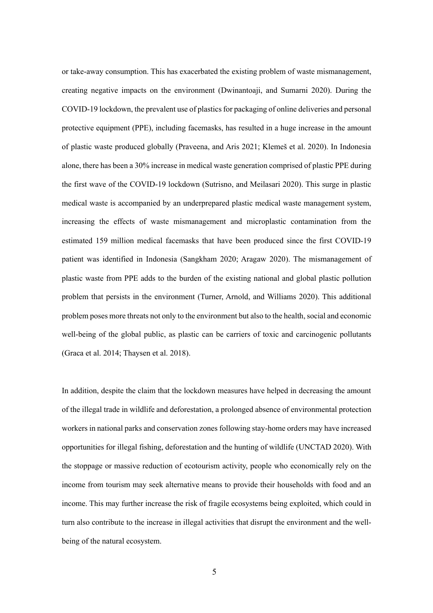or take-away consumption. This has exacerbated the existing problem of waste mismanagement, creating negative impacts on the environment (Dwinantoaji, and Sumarni 2020). During the COVID-19 lockdown, the prevalent use of plastics for packaging of online deliveries and personal protective equipment (PPE), including facemasks, has resulted in a huge increase in the amount of plastic waste produced globally (Praveena, and Aris 2021; Klemeš et al. 2020). In Indonesia alone, there has been a 30% increase in medical waste generation comprised of plastic PPE during the first wave of the COVID-19 lockdown (Sutrisno, and Meilasari 2020). This surge in plastic medical waste is accompanied by an underprepared plastic medical waste management system, increasing the effects of waste mismanagement and microplastic contamination from the estimated 159 million medical facemasks that have been produced since the first COVID-19 patient was identified in Indonesia (Sangkham 2020; Aragaw 2020). The mismanagement of plastic waste from PPE adds to the burden of the existing national and global plastic pollution problem that persists in the environment (Turner, Arnold, and Williams 2020). This additional problem poses more threats not only to the environment but also to the health, social and economic well-being of the global public, as plastic can be carriers of toxic and carcinogenic pollutants (Graca et al. 2014; Thaysen et al. 2018).

In addition, despite the claim that the lockdown measures have helped in decreasing the amount of the illegal trade in wildlife and deforestation, a prolonged absence of environmental protection workers in national parks and conservation zones following stay-home orders may have increased opportunities for illegal fishing, deforestation and the hunting of wildlife (UNCTAD 2020). With the stoppage or massive reduction of ecotourism activity, people who economically rely on the income from tourism may seek alternative means to provide their households with food and an income. This may further increase the risk of fragile ecosystems being exploited, which could in turn also contribute to the increase in illegal activities that disrupt the environment and the wellbeing of the natural ecosystem.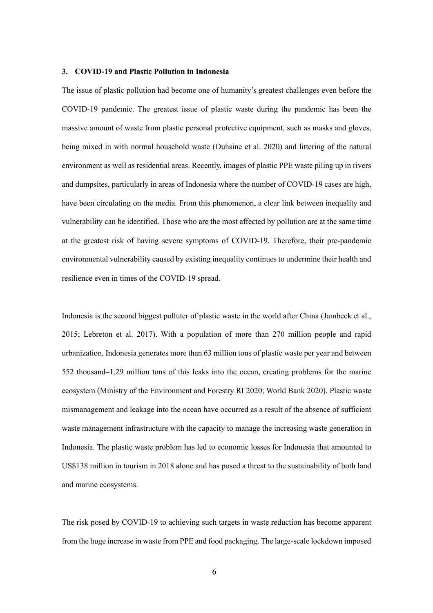#### **3. COVID-19 and Plastic Pollution in Indonesia**

The issue of plastic pollution had become one of humanity's greatest challenges even before the COVID-19 pandemic. The greatest issue of plastic waste during the pandemic has been the massive amount of waste from plastic personal protective equipment, such as masks and gloves, being mixed in with normal household waste (Ouhsine et al. 2020) and littering of the natural environment as well as residential areas. Recently, images of plastic PPE waste piling up in rivers and dumpsites, particularly in areas of Indonesia where the number of COVID-19 cases are high, have been circulating on the media. From this phenomenon, a clear link between inequality and vulnerability can be identified. Those who are the most affected by pollution are at the same time at the greatest risk of having severe symptoms of COVID-19. Therefore, their pre-pandemic environmental vulnerability caused by existing inequality continues to undermine their health and resilience even in times of the COVID-19 spread.

Indonesia is the second biggest polluter of plastic waste in the world after China (Jambeck et al., 2015; Lebreton et al. 2017). With a population of more than 270 million people and rapid urbanization, Indonesia generates more than 63 million tons of plastic waste per year and between 552 thousand–1.29 million tons of this leaks into the ocean, creating problems for the marine ecosystem (Ministry of the Environment and Forestry RI 2020; World Bank 2020). Plastic waste mismanagement and leakage into the ocean have occurred as a result of the absence of sufficient waste management infrastructure with the capacity to manage the increasing waste generation in Indonesia. The plastic waste problem has led to economic losses for Indonesia that amounted to US\$138 million in tourism in 2018 alone and has posed a threat to the sustainability of both land and marine ecosystems.

The risk posed by COVID-19 to achieving such targets in waste reduction has become apparent from the huge increase in waste from PPE and food packaging. The large-scale lockdown imposed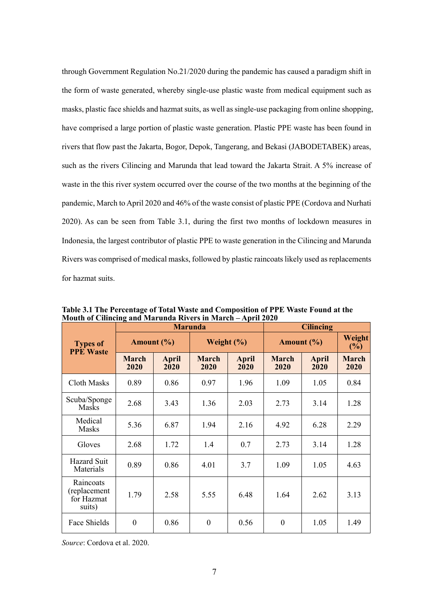through Government Regulation No.21/2020 during the pandemic has caused a paradigm shift in the form of waste generated, whereby single-use plastic waste from medical equipment such as masks, plastic face shields and hazmat suits, as well as single-use packaging from online shopping, have comprised a large portion of plastic waste generation. Plastic PPE waste has been found in rivers that flow past the Jakarta, Bogor, Depok, Tangerang, and Bekasi (JABODETABEK) areas, such as the rivers Cilincing and Marunda that lead toward the Jakarta Strait. A 5% increase of waste in the this river system occurred over the course of the two months at the beginning of the pandemic, March to April 2020 and 46% of the waste consist of plastic PPE (Cordova and Nurhati 2020). As can be seen from Table 3.1, during the first two months of lockdown measures in Indonesia, the largest contributor of plastic PPE to waste generation in the Cilincing and Marunda Rivers was comprised of medical masks, followed by plastic raincoats likely used as replacements for hazmat suits.

|                                                   | <b>Marunda</b>       |                      |                      |                      | <b>Cilincing</b>     |                      |                      |
|---------------------------------------------------|----------------------|----------------------|----------------------|----------------------|----------------------|----------------------|----------------------|
| <b>Types of</b><br><b>PPE Waste</b>               | Amount $(\% )$       |                      | Weight (%)           |                      | Amount $(\% )$       |                      | Weight<br>(%)        |
|                                                   | <b>March</b><br>2020 | <b>April</b><br>2020 | <b>March</b><br>2020 | <b>April</b><br>2020 | <b>March</b><br>2020 | <b>April</b><br>2020 | <b>March</b><br>2020 |
| <b>Cloth Masks</b>                                | 0.89                 | 0.86                 | 0.97                 | 1.96                 | 1.09                 | 1.05                 | 0.84                 |
| Scuba/Sponge<br><b>Masks</b>                      | 2.68                 | 3.43                 | 1.36                 | 2.03                 | 2.73                 | 3.14                 | 1.28                 |
| Medical<br>Masks                                  | 5.36                 | 6.87                 | 1.94                 | 2.16                 | 4.92                 | 6.28                 | 2.29                 |
| Gloves                                            | 2.68                 | 1.72                 | 1.4                  | 0.7                  | 2.73                 | 3.14                 | 1.28                 |
| Hazard Suit<br>Materials                          | 0.89                 | 0.86                 | 4.01                 | 3.7                  | 1.09                 | 1.05                 | 4.63                 |
| Raincoats<br>(replacement<br>for Hazmat<br>suits) | 1.79                 | 2.58                 | 5.55                 | 6.48                 | 1.64                 | 2.62                 | 3.13                 |
| Face Shields                                      | $\boldsymbol{0}$     | 0.86                 | $\boldsymbol{0}$     | 0.56                 | $\boldsymbol{0}$     | 1.05                 | 1.49                 |

**Table 3.1 The Percentage of Total Waste and Composition of PPE Waste Found at the Mouth of Cilincing and Marunda Rivers in March – April 2020**

*Source*: Cordova et al. 2020.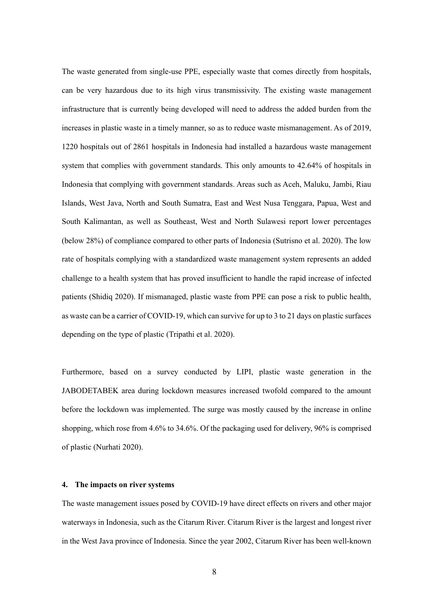The waste generated from single-use PPE, especially waste that comes directly from hospitals, can be very hazardous due to its high virus transmissivity. The existing waste management infrastructure that is currently being developed will need to address the added burden from the increases in plastic waste in a timely manner, so as to reduce waste mismanagement. As of 2019, 1220 hospitals out of 2861 hospitals in Indonesia had installed a hazardous waste management system that complies with government standards. This only amounts to 42.64% of hospitals in Indonesia that complying with government standards. Areas such as Aceh, Maluku, Jambi, Riau Islands, West Java, North and South Sumatra, East and West Nusa Tenggara, Papua, West and South Kalimantan, as well as Southeast, West and North Sulawesi report lower percentages (below 28%) of compliance compared to other parts of Indonesia (Sutrisno et al. 2020). The low rate of hospitals complying with a standardized waste management system represents an added challenge to a health system that has proved insufficient to handle the rapid increase of infected patients (Shidiq 2020). If mismanaged, plastic waste from PPE can pose a risk to public health, as waste can be a carrier of COVID-19, which can survive for up to 3 to 21 days on plastic surfaces depending on the type of plastic (Tripathi et al. 2020).

Furthermore, based on a survey conducted by LIPI, plastic waste generation in the JABODETABEK area during lockdown measures increased twofold compared to the amount before the lockdown was implemented. The surge was mostly caused by the increase in online shopping, which rose from 4.6% to 34.6%. Of the packaging used for delivery, 96% is comprised of plastic (Nurhati 2020).

## **4. The impacts on river systems**

The waste management issues posed by COVID-19 have direct effects on rivers and other major waterways in Indonesia, such as the Citarum River. Citarum River is the largest and longest river in the West Java province of Indonesia. Since the year 2002, Citarum River has been well-known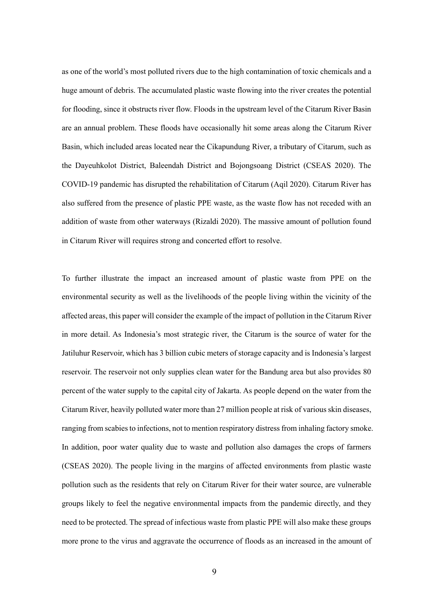as one of the world's most polluted rivers due to the high contamination of toxic chemicals and a huge amount of debris. The accumulated plastic waste flowing into the river creates the potential for flooding, since it obstructs river flow. Floods in the upstream level of the Citarum River Basin are an annual problem. These floods have occasionally hit some areas along the Citarum River Basin, which included areas located near the Cikapundung River, a tributary of Citarum, such as the Dayeuhkolot District, Baleendah District and Bojongsoang District (CSEAS 2020). The COVID-19 pandemic has disrupted the rehabilitation of Citarum (Aqil 2020). Citarum River has also suffered from the presence of plastic PPE waste, as the waste flow has not receded with an addition of waste from other waterways (Rizaldi 2020). The massive amount of pollution found in Citarum River will requires strong and concerted effort to resolve.

To further illustrate the impact an increased amount of plastic waste from PPE on the environmental security as well as the livelihoods of the people living within the vicinity of the affected areas, this paper will consider the example of the impact of pollution in the Citarum River in more detail. As Indonesia's most strategic river, the Citarum is the source of water for the Jatiluhur Reservoir, which has 3 billion cubic meters of storage capacity and is Indonesia's largest reservoir. The reservoir not only supplies clean water for the Bandung area but also provides 80 percent of the water supply to the capital city of Jakarta. As people depend on the water from the Citarum River, heavily polluted water more than 27 million people at risk of various skin diseases, ranging from scabies to infections, not to mention respiratory distress from inhaling factory smoke. In addition, poor water quality due to waste and pollution also damages the crops of farmers (CSEAS 2020). The people living in the margins of affected environments from plastic waste pollution such as the residents that rely on Citarum River for their water source, are vulnerable groups likely to feel the negative environmental impacts from the pandemic directly, and they need to be protected. The spread of infectious waste from plastic PPE will also make these groups more prone to the virus and aggravate the occurrence of floods as an increased in the amount of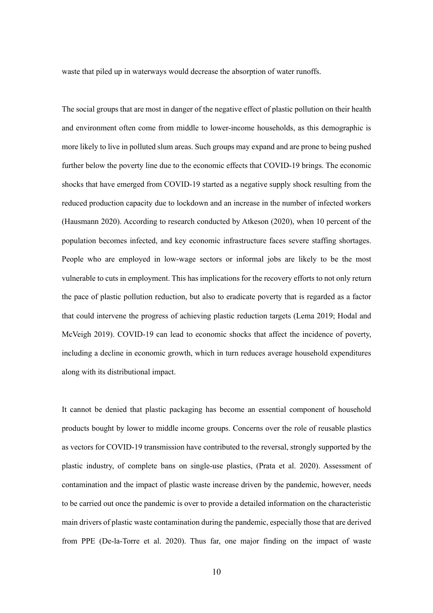waste that piled up in waterways would decrease the absorption of water runoffs.

The social groups that are most in danger of the negative effect of plastic pollution on their health and environment often come from middle to lower-income households, as this demographic is more likely to live in polluted slum areas. Such groups may expand and are prone to being pushed further below the poverty line due to the economic effects that COVID-19 brings. The economic shocks that have emerged from COVID-19 started as a negative supply shock resulting from the reduced production capacity due to lockdown and an increase in the number of infected workers (Hausmann 2020). According to research conducted by Atkeson (2020), when 10 percent of the population becomes infected, and key economic infrastructure faces severe staffing shortages. People who are employed in low-wage sectors or informal jobs are likely to be the most vulnerable to cuts in employment. This has implications for the recovery efforts to not only return the pace of plastic pollution reduction, but also to eradicate poverty that is regarded as a factor that could intervene the progress of achieving plastic reduction targets (Lema 2019; Hodal and McVeigh 2019). COVID-19 can lead to economic shocks that affect the incidence of poverty, including a decline in economic growth, which in turn reduces average household expenditures along with its distributional impact.

It cannot be denied that plastic packaging has become an essential component of household products bought by lower to middle income groups. Concerns over the role of reusable plastics as vectors for COVID-19 transmission have contributed to the reversal, strongly supported by the plastic industry, of complete bans on single-use plastics, (Prata et al. 2020). Assessment of contamination and the impact of plastic waste increase driven by the pandemic, however, needs to be carried out once the pandemic is over to provide a detailed information on the characteristic main drivers of plastic waste contamination during the pandemic, especially those that are derived from PPE (De-la-Torre et al. 2020). Thus far, one major finding on the impact of waste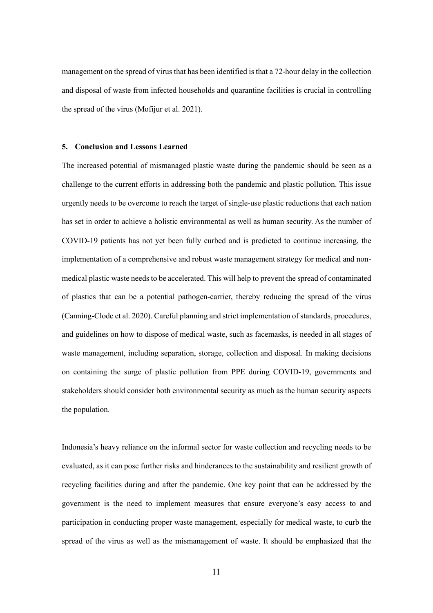management on the spread of virus that has been identified is that a 72-hour delay in the collection and disposal of waste from infected households and quarantine facilities is crucial in controlling the spread of the virus (Mofijur et al. 2021).

#### **5. Conclusion and Lessons Learned**

The increased potential of mismanaged plastic waste during the pandemic should be seen as a challenge to the current efforts in addressing both the pandemic and plastic pollution. This issue urgently needs to be overcome to reach the target of single-use plastic reductions that each nation has set in order to achieve a holistic environmental as well as human security. As the number of COVID-19 patients has not yet been fully curbed and is predicted to continue increasing, the implementation of a comprehensive and robust waste management strategy for medical and nonmedical plastic waste needs to be accelerated. This will help to prevent the spread of contaminated of plastics that can be a potential pathogen-carrier, thereby reducing the spread of the virus (Canning-Clode et al. 2020). Careful planning and strict implementation of standards, procedures, and guidelines on how to dispose of medical waste, such as facemasks, is needed in all stages of waste management, including separation, storage, collection and disposal. In making decisions on containing the surge of plastic pollution from PPE during COVID-19, governments and stakeholders should consider both environmental security as much as the human security aspects the population.

Indonesia's heavy reliance on the informal sector for waste collection and recycling needs to be evaluated, as it can pose further risks and hinderances to the sustainability and resilient growth of recycling facilities during and after the pandemic. One key point that can be addressed by the government is the need to implement measures that ensure everyone's easy access to and participation in conducting proper waste management, especially for medical waste, to curb the spread of the virus as well as the mismanagement of waste. It should be emphasized that the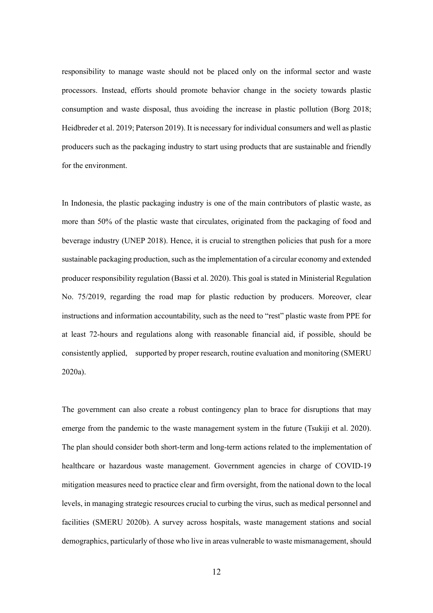responsibility to manage waste should not be placed only on the informal sector and waste processors. Instead, efforts should promote behavior change in the society towards plastic consumption and waste disposal, thus avoiding the increase in plastic pollution (Borg 2018; Heidbreder et al. 2019; Paterson 2019). It is necessary for individual consumers and well as plastic producers such as the packaging industry to start using products that are sustainable and friendly for the environment.

In Indonesia, the plastic packaging industry is one of the main contributors of plastic waste, as more than 50% of the plastic waste that circulates, originated from the packaging of food and beverage industry (UNEP 2018). Hence, it is crucial to strengthen policies that push for a more sustainable packaging production, such as the implementation of a circular economy and extended producer responsibility regulation (Bassi et al. 2020). This goal is stated in Ministerial Regulation No. 75/2019, regarding the road map for plastic reduction by producers. Moreover, clear instructions and information accountability, such as the need to "rest" plastic waste from PPE for at least 72-hours and regulations along with reasonable financial aid, if possible, should be consistently applied, supported by proper research, routine evaluation and monitoring (SMERU 2020a).

The government can also create a robust contingency plan to brace for disruptions that may emerge from the pandemic to the waste management system in the future (Tsukiji et al. 2020). The plan should consider both short-term and long-term actions related to the implementation of healthcare or hazardous waste management. Government agencies in charge of COVID-19 mitigation measures need to practice clear and firm oversight, from the national down to the local levels, in managing strategic resources crucial to curbing the virus, such as medical personnel and facilities (SMERU 2020b). A survey across hospitals, waste management stations and social demographics, particularly of those who live in areas vulnerable to waste mismanagement, should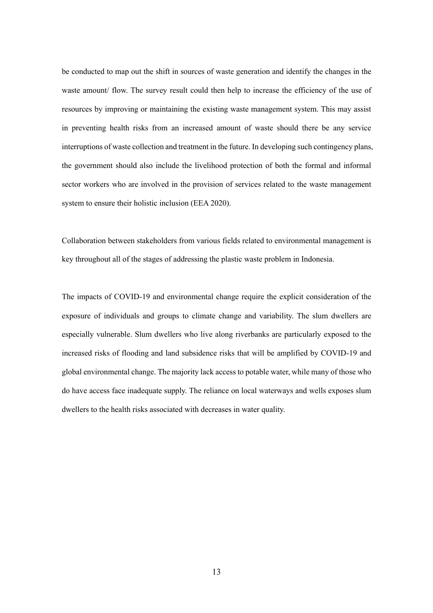be conducted to map out the shift in sources of waste generation and identify the changes in the waste amount/ flow. The survey result could then help to increase the efficiency of the use of resources by improving or maintaining the existing waste management system. This may assist in preventing health risks from an increased amount of waste should there be any service interruptions of waste collection and treatment in the future. In developing such contingency plans, the government should also include the livelihood protection of both the formal and informal sector workers who are involved in the provision of services related to the waste management system to ensure their holistic inclusion (EEA 2020).

Collaboration between stakeholders from various fields related to environmental management is key throughout all of the stages of addressing the plastic waste problem in Indonesia.

The impacts of COVID-19 and environmental change require the explicit consideration of the exposure of individuals and groups to climate change and variability. The slum dwellers are especially vulnerable. Slum dwellers who live along riverbanks are particularly exposed to the increased risks of flooding and land subsidence risks that will be amplified by COVID-19 and global environmental change. The majority lack access to potable water, while many of those who do have access face inadequate supply. The reliance on local waterways and wells exposes slum dwellers to the health risks associated with decreases in water quality.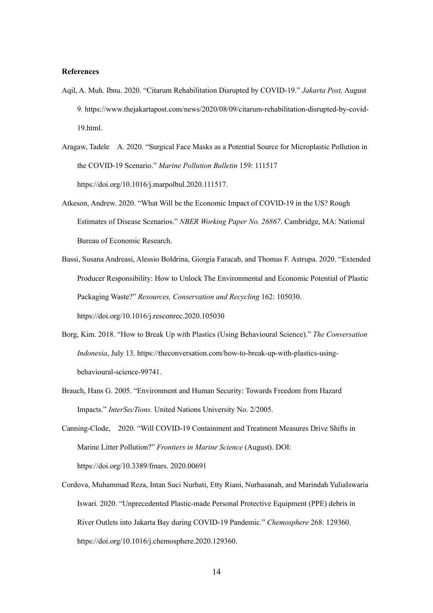#### **References**

Aqil, A. Muh. Ibnu. 2020. "Citarum Rehabilitation Disrupted by COVID-19." *Jakarta Post,* August 9*.* https://www.thejakartapost.com/news/2020/08/09/citarum-rehabilitation-disrupted-by-covid-19.html.

Aragaw, Tadele A. 2020. "Surgical Face Masks as a Potential Source for Microplastic Pollution in the COVID-19 Scenario." *Marine Pollution Bulletin* 159: 111517 https://doi.org/10.1016/j.marpolbul.2020.111517.

- Atkeson, Andrew. 2020. "What Will be the Economic Impact of COVID-19 in the US? Rough Estimates of Disease Scenarios." *NBER Working Paper No. 26867*. Cambridge, MA: National Bureau of Economic Research.
- Bassi, Susana Andreasi, Alessio Boldrina, Giorgia Faracab, and Thomas F. Astrupa. 2020. "Extended Producer Responsibility: How to Unlock The Environmental and Economic Potential of Plastic Packaging Waste?" *Resources, Conservation and Recycling* 162: 105030. https://doi.org/10.1016/j.resconrec.2020.105030
- Borg, Kim. 2018. "How to Break Up with Plastics (Using Behavioural Science)." *The Conversation Indonesia*, July 13. https://theconversation.com/how-to-break-up-with-plastics-usingbehavioural-science-99741.
- Brauch, Hans G. 2005. "Environment and Human Security: Towards Freedom from Hazard Impacts." *InterSecTions.* United Nations University No. 2/2005.
- Canning-Clode, 2020. "Will COVID-19 Containment and Treatment Measures Drive Shifts in Marine Litter Pollution?" *Frontiers in Marine Science* (August). DOI: https://doi.org/10.3389/fmars. 2020.00691
- Cordova, Muhammad Reza, Intan Suci Nurhati, Etty Riani, Nurhasanah, and Marindah YuliaIswaria Iswari. 2020. "Unprecedented Plastic-made Personal Protective Equipment (PPE) debris in River Outlets into Jakarta Bay during COVID-19 Pandemic." *Chemosphere* 268: 129360. https://doi.org/10.1016/j.chemosphere.2020.129360.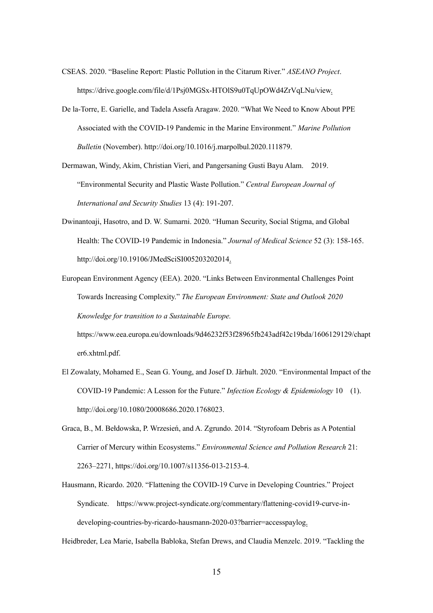- CSEAS. 2020. "Baseline Report: Plastic Pollution in the Citarum River." *ASEANO Project*. https://drive.google.com/file/d/1Psj0MGSx-HTOlS9u0TqUpOWd4ZrVqLNu/view.
- De la-Torre, E. Garielle, and Tadela Assefa Aragaw. 2020. "What We Need to Know About PPE Associated with the COVID-19 Pandemic in the Marine Environment." *Marine Pollution Bulletin* (November). http://doi.org/10.1016/j.marpolbul.2020.111879.

Dermawan, Windy, Akim, Christian Vieri, and Pangersaning Gusti Bayu Alam. 2019. "Environmental Security and Plastic Waste Pollution." *Central European Journal of International and Security Studies* 13 (4): 191-207.

- Dwinantoaji, Hasotro, and D. W. Sumarni. 2020. "Human Security, Social Stigma, and Global Health: The COVID-19 Pandemic in Indonesia." *Journal of Medical Science* 52 (3): 158-165. http://doi.org/10.19106/JMedSciSI005203202014.
- European Environment Agency (EEA). 2020. "Links Between Environmental Challenges Point Towards Increasing Complexity." *The European Environment: State and Outlook 2020 Knowledge for transition to a Sustainable Europe.*

https://www.eea.europa.eu/downloads/9d46232f53f28965fb243adf42c19bda/1606129129/chapt er6.xhtml.pdf.

- El Zowalaty, Mohamed E., Sean G. Young, and Josef D. Järhult. 2020. "Environmental Impact of the COVID-19 Pandemic: A Lesson for the Future." *Infection Ecology & Epidemiology* 10 (1). http://doi.org/10.1080/20008686.2020.1768023.
- Graca, B., M. Bełdowska, P. Wrzesień, and A. Zgrundo. 2014. "Styrofoam Debris as A Potential Carrier of Mercury within Ecosystems." *Environmental Science and Pollution Research* 21: 2263–2271, https://doi.org/10.1007/s11356-013-2153-4.
- Hausmann, Ricardo. 2020. "Flattening the COVID-19 Curve in Developing Countries." Project Syndicate. https://www.project-syndicate.org/commentary/flattening-covid19-curve-indeveloping-countries-by-ricardo-hausmann-2020-03?barrier=accesspaylog.

Heidbreder, Lea Marie, Isabella Babloka, Stefan Drews, and Claudia Menzelc. 2019. "Tackling the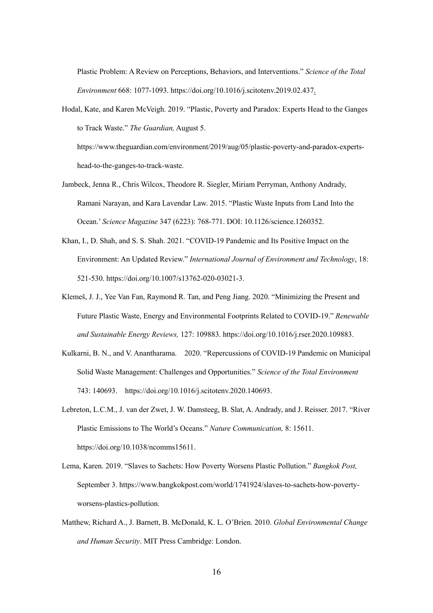Plastic Problem: A Review on Perceptions, Behaviors, and Interventions." *Science of the Total Environment* 668: 1077-1093. https://doi.org/10.1016/j.scitotenv.2019.02.437.

Hodal, Kate, and Karen McVeigh. 2019. "Plastic, Poverty and Paradox: Experts Head to the Ganges to Track Waste." *The Guardian,* August 5.

https://www.theguardian.com/environment/2019/aug/05/plastic-poverty-and-paradox-expertshead-to-the-ganges-to-track-waste.

- Jambeck, Jenna R., Chris Wilcox, Theodore R. Siegler, Miriam Perryman, Anthony Andrady, Ramani Narayan, and Kara Lavendar Law. 2015. "Plastic Waste Inputs from Land Into the Ocean.' *Science Magazine* 347 (6223): 768-771. DOI: 10.1126/science.1260352.
- Khan, I., D. Shah, and S. S. Shah. 2021. "COVID-19 Pandemic and Its Positive Impact on the Environment: An Updated Review." *International Journal of Environment and Technology*, 18: 521-530. https://doi.org/10.1007/s13762-020-03021-3.
- Klemeš, J. J., Yee Van Fan, Raymond R. Tan, and Peng Jiang. 2020. "Minimizing the Present and Future Plastic Waste, Energy and Environmental Footprints Related to COVID-19." *Renewable and Sustainable Energy Reviews,* 127: 109883. https://doi.org/10.1016/j.rser.2020.109883.
- Kulkarni, B. N., and V. Anantharama. 2020. "Repercussions of COVID-19 Pandemic on Municipal Solid Waste Management: Challenges and Opportunities." *Science of the Total Environment* 743: 140693. https://doi.org/10.1016/j.scitotenv.2020.140693.
- Lebreton, L.C.M., J. van der Zwet, J. W. Damsteeg, B. Slat, A. Andrady, and J. Reisser. 2017. "River Plastic Emissions to The World's Oceans." *Nature Communication,* 8: 15611. https://doi.org/10.1038/ncomms15611.
- Lema, Karen. 2019. "Slaves to Sachets: How Poverty Worsens Plastic Pollution." *Bangkok Post,* September 3. https://www.bangkokpost.com/world/1741924/slaves-to-sachets-how-povertyworsens-plastics-pollution*.*
- Matthew, Richard A., J. Barnett, B. McDonald, K. L. O'Brien. 2010. *Global Environmental Change and Human Security*. MIT Press Cambridge: London.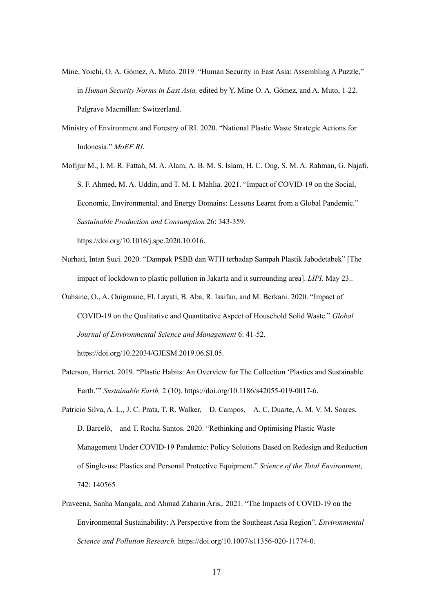- Mine, Yoichi, O. A. Gómez, A. Muto. 2019. "Human Security in East Asia: Assembling A Puzzle," in *Human Security Norms in East Asia,* edited by Y. Mine O. A. Gómez, and A. Muto, 1-22. Palgrave Macmillan: Switzerland.
- Ministry of Environment and Forestry of RI. 2020. "National Plastic Waste Strategic Actions for Indonesia*.*" *MoEF RI*.

Mofijur M., I. M. R. Fattah, M. A. Alam, A. B. M. S. Islam, H. C. Ong, S. M. A. Rahman, G. Najafi, S. F. Ahmed, M. A. Uddin, and T. M. I. Mahlia. 2021. "Impact of COVID-19 on the Social, Economic, Environmental, and Energy Domains: Lessons Learnt from a Global Pandemic." *Sustainable Production and Consumption* 26: 343-359.

https://doi.org/10.1016/j.spc.2020.10.016.

- Nurhati, Intan Suci. 2020. "Dampak PSBB dan WFH terhadap Sampah Plastik Jabodetabek" [The impact of lockdown to plastic pollution in Jakarta and it surrounding area]. *LIPI,* May 23..
- Ouhsine, O., A. Ouigmane, El. Layati, B. Aba, R. Isaifan, and M. Berkani. 2020. "Impact of COVID-19 on the Qualitative and Quantitative Aspect of Household Solid Waste." *Global Journal of Environmental Science and Management* 6: 41-52.

https://doi.org/10.22034/GJESM.2019.06.SI.05.

- Paterson, Harriet. 2019. "Plastic Habits: An Overview for The Collection 'Plastics and Sustainable Earth.'" *Sustainable Earth,* 2 (10). https://doi.org/10.1186/s42055-019-0017-6.
- Patrício Silva, A. L., J. C. Prata, T. R. Walker, D. Campos, A. C. Duarte, A. M. V. M. Soares, D. Barcelò, and T. Rocha-Santos. 2020. "Rethinking and Optimising Plastic Waste Management Under COVID-19 Pandemic: Policy Solutions Based on Redesign and Reduction of Single-use Plastics and Personal Protective Equipment." *Science of the Total Environment*, 742: 140565*.*
- Praveena, Sanha Mangala, and Ahmad Zaharin Aris,. 2021. "The Impacts of COVID-19 on the Environmental Sustainability: A Perspective from the Southeast Asia Region". *Environmental Science and Pollution Research.* https://doi.org/10.1007/s11356-020-11774-0.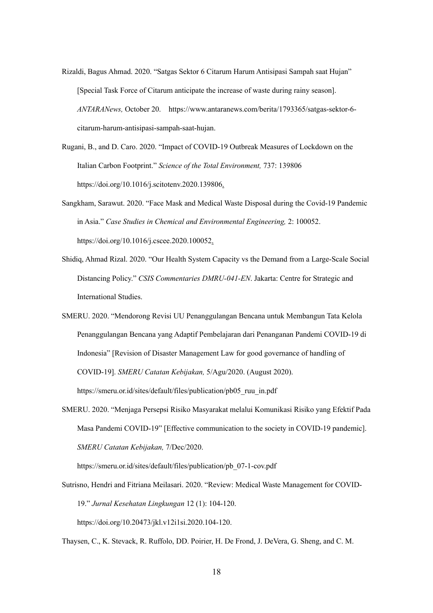- Rizaldi, Bagus Ahmad. 2020. "Satgas Sektor 6 Citarum Harum Antisipasi Sampah saat Hujan" [Special Task Force of Citarum anticipate the increase of waste during rainy season]. *ANTARANews,* October 20. https://www.antaranews.com/berita/1793365/satgas-sektor-6 citarum-harum-antisipasi-sampah-saat-hujan.
- Rugani, B., and D. Caro. 2020. "Impact of COVID-19 Outbreak Measures of Lockdown on the Italian Carbon Footprint." *Science of the Total Environment,* 737: 139806 https://doi.org/10.1016/j.scitotenv.2020.139806.
- Sangkham, Sarawut. 2020. "Face Mask and Medical Waste Disposal during the Covid-19 Pandemic in Asia." *Case Studies in Chemical and Environmental Engineering,* 2: 100052. https://doi.org/10.1016/j.cscee.2020.100052.
- Shidiq, Ahmad Rizal. 2020. "Our Health System Capacity vs the Demand from a Large-Scale Social Distancing Policy." *CSIS Commentaries DMRU-041-EN*. Jakarta: Centre for Strategic and International Studies.
- SMERU. 2020. "Mendorong Revisi UU Penanggulangan Bencana untuk Membangun Tata Kelola Penanggulangan Bencana yang Adaptif Pembelajaran dari Penanganan Pandemi COVID-19 di Indonesia" [Revision of Disaster Management Law for good governance of handling of COVID-19]. *SMERU Catatan Kebijakan,* 5/Agu/2020. (August 2020). https://smeru.or.id/sites/default/files/publication/pb05\_ruu\_in.pdf
- SMERU. 2020. "Menjaga Persepsi Risiko Masyarakat melalui Komunikasi Risiko yang Efektif Pada Masa Pandemi COVID-19" [Effective communication to the society in COVID-19 pandemic]. *SMERU Catatan Kebijakan,* 7/Dec/2020.

https://smeru.or.id/sites/default/files/publication/pb\_07-1-cov.pdf

Sutrisno, Hendri and Fitriana Meilasari. 2020. "Review: Medical Waste Management for COVID-19." *Jurnal Kesehatan Lingkungan* 12 (1): 104-120.

https://doi.org/10.20473/jkl.v12i1si.2020.104-120.

Thaysen, C., K. Stevack, R. Ruffolo, DD. Poirier, H. De Frond, J. DeVera, G. Sheng, and C. M.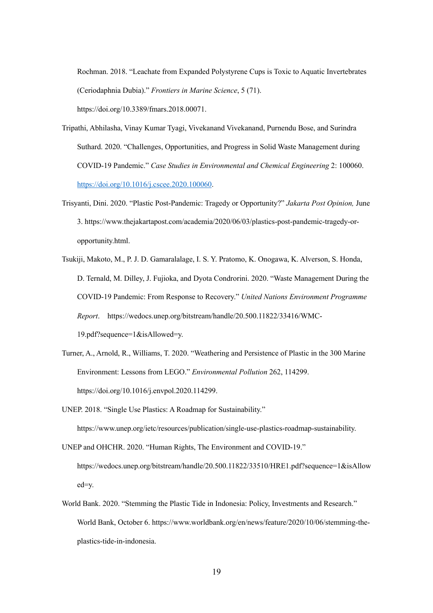Rochman. 2018. "Leachate from Expanded Polystyrene Cups is Toxic to Aquatic Invertebrates (Ceriodaphnia Dubia)." *Frontiers in Marine Science*, 5 (71). https://doi.org/10.3389/fmars.2018.00071.

- Tripathi, Abhilasha, Vinay Kumar Tyagi, Vivekanand Vivekanand, Purnendu Bose, and Surindra Suthard. 2020. "Challenges, Opportunities, and Progress in Solid Waste Management during COVID-19 Pandemic." *Case Studies in Environmental and Chemical Engineering* 2: 100060. https://doi.org/10.1016/j.cscee.2020.100060.
- Trisyanti, Dini. 2020. "Plastic Post-Pandemic: Tragedy or Opportunity?" *Jakarta Post Opinion,* June 3. https://www.thejakartapost.com/academia/2020/06/03/plastics-post-pandemic-tragedy-oropportunity.html.
- Tsukiji, Makoto, M., P. J. D. Gamaralalage, I. S. Y. Pratomo, K. Onogawa, K. Alverson, S. Honda, D. Ternald, M. Dilley, J. Fujioka, and Dyota Condrorini. 2020. "Waste Management During the COVID-19 Pandemic: From Response to Recovery." *United Nations Environment Programme Report*. https://wedocs.unep.org/bitstream/handle/20.500.11822/33416/WMC-19.pdf?sequence=1&isAllowed=y.
- Turner, A., Arnold, R., Williams, T. 2020. "Weathering and Persistence of Plastic in the 300 Marine Environment: Lessons from LEGO." *Environmental Pollution* 262, 114299. https://doi.org/10.1016/j.envpol.2020.114299.
- UNEP. 2018. "Single Use Plastics: A Roadmap for Sustainability." https://www.unep.org/ietc/resources/publication/single-use-plastics-roadmap-sustainability.
- UNEP and OHCHR. 2020. "Human Rights, The Environment and COVID-19." https://wedocs.unep.org/bitstream/handle/20.500.11822/33510/HRE1.pdf?sequence=1&isAllow ed=y.
- World Bank. 2020. "Stemming the Plastic Tide in Indonesia: Policy, Investments and Research." World Bank, October 6. https://www.worldbank.org/en/news/feature/2020/10/06/stemming-theplastics-tide-in-indonesia.